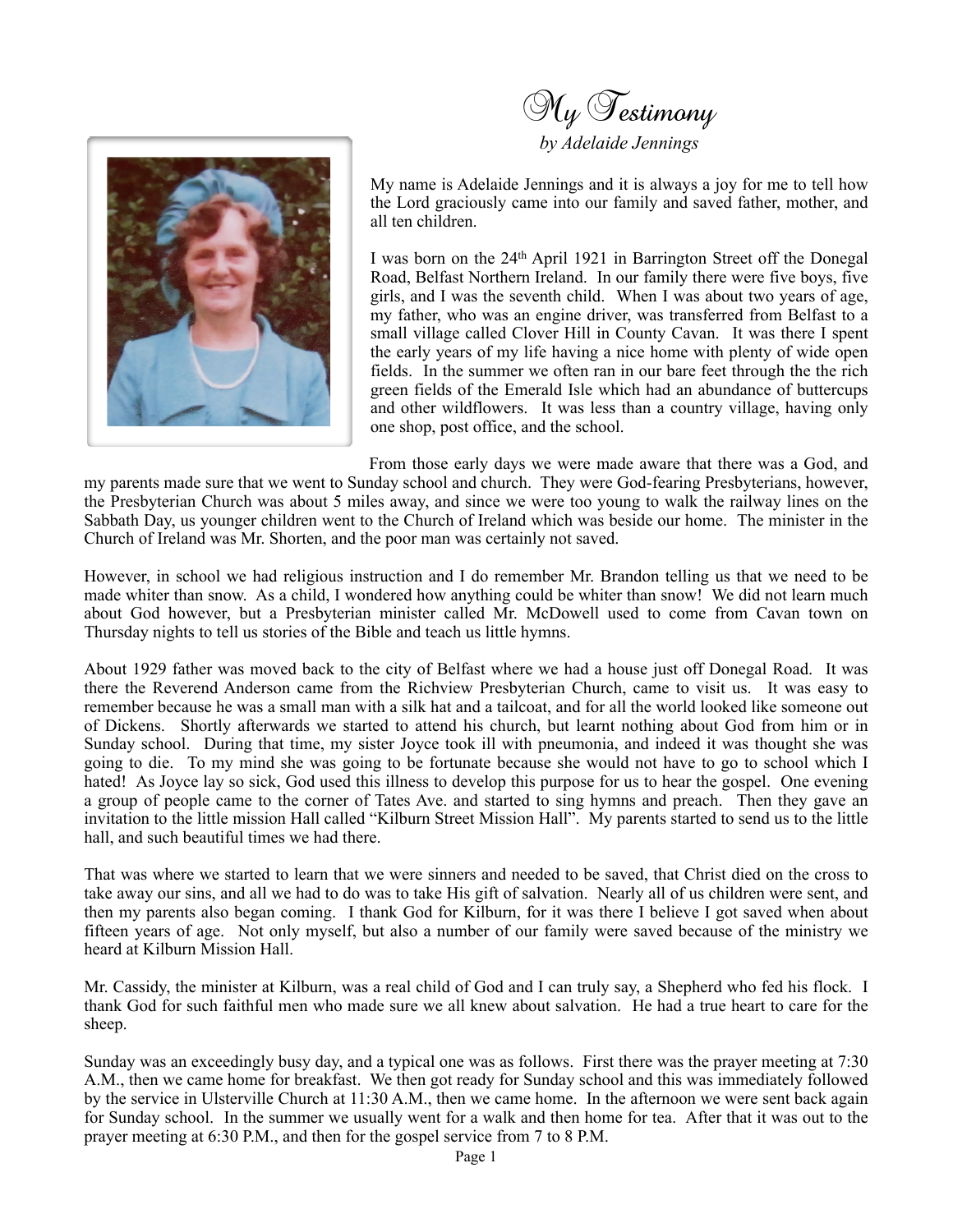

*by Adelaide Jennings*



My name is Adelaide Jennings and it is always a joy for me to tell how the Lord graciously came into our family and saved father, mother, and all ten children.

I was born on the 24th April 1921 in Barrington Street off the Donegal Road, Belfast Northern Ireland. In our family there were five boys, five girls, and I was the seventh child. When I was about two years of age, my father, who was an engine driver, was transferred from Belfast to a small village called Clover Hill in County Cavan. It was there I spent the early years of my life having a nice home with plenty of wide open fields. In the summer we often ran in our bare feet through the the rich green fields of the Emerald Isle which had an abundance of buttercups and other wildflowers. It was less than a country village, having only one shop, post office, and the school.

From those early days we were made aware that there was a God, and my parents made sure that we went to Sunday school and church. They were God-fearing Presbyterians, however, the Presbyterian Church was about 5 miles away, and since we were too young to walk the railway lines on the Sabbath Day, us younger children went to the Church of Ireland which was beside our home. The minister in the Church of Ireland was Mr. Shorten, and the poor man was certainly not saved.

However, in school we had religious instruction and I do remember Mr. Brandon telling us that we need to be made whiter than snow. As a child, I wondered how anything could be whiter than snow! We did not learn much about God however, but a Presbyterian minister called Mr. McDowell used to come from Cavan town on Thursday nights to tell us stories of the Bible and teach us little hymns.

About 1929 father was moved back to the city of Belfast where we had a house just off Donegal Road. It was there the Reverend Anderson came from the Richview Presbyterian Church, came to visit us. It was easy to remember because he was a small man with a silk hat and a tailcoat, and for all the world looked like someone out of Dickens. Shortly afterwards we started to attend his church, but learnt nothing about God from him or in Sunday school. During that time, my sister Joyce took ill with pneumonia, and indeed it was thought she was going to die. To my mind she was going to be fortunate because she would not have to go to school which I hated! As Joyce lay so sick, God used this illness to develop this purpose for us to hear the gospel. One evening a group of people came to the corner of Tates Ave. and started to sing hymns and preach. Then they gave an invitation to the little mission Hall called "Kilburn Street Mission Hall". My parents started to send us to the little hall, and such beautiful times we had there.

That was where we started to learn that we were sinners and needed to be saved, that Christ died on the cross to take away our sins, and all we had to do was to take His gift of salvation. Nearly all of us children were sent, and then my parents also began coming. I thank God for Kilburn, for it was there I believe I got saved when about fifteen years of age. Not only myself, but also a number of our family were saved because of the ministry we heard at Kilburn Mission Hall.

Mr. Cassidy, the minister at Kilburn, was a real child of God and I can truly say, a Shepherd who fed his flock. I thank God for such faithful men who made sure we all knew about salvation. He had a true heart to care for the sheep.

Sunday was an exceedingly busy day, and a typical one was as follows. First there was the prayer meeting at 7:30 A.M., then we came home for breakfast. We then got ready for Sunday school and this was immediately followed by the service in Ulsterville Church at 11:30 A.M., then we came home. In the afternoon we were sent back again for Sunday school. In the summer we usually went for a walk and then home for tea. After that it was out to the prayer meeting at 6:30 P.M., and then for the gospel service from 7 to 8 P.M.